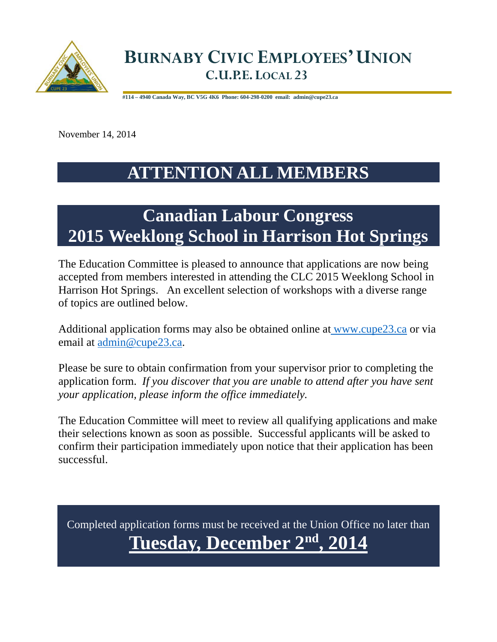

 **#114 – 4940 Canada Way, BC V5G 4K6 Phone: 604-298-0200 email: admin@cupe23.ca**

November 14, 2014

## **ATTENTION ALL MEMBERS**

# **Canadian Labour Congress 2015 Weeklong School in Harrison Hot Springs**

The Education Committee is pleased to announce that applications are now being accepted from members interested in attending the CLC 2015 Weeklong School in Harrison Hot Springs. An excellent selection of workshops with a diverse range of topics are outlined below.

Additional application forms may also be obtained online at www.cupe23.ca or via email at admin@cupe23.ca.

Please be sure to obtain confirmation from your supervisor prior to completing the application form. *If you discover that you are unable to attend after you have sent your application, please inform the office immediately.*

The Education Committee will meet to review all qualifying applications and make their selections known as soon as possible. Successful applicants will be asked to confirm their participation immediately upon notice that their application has been successful.

Completed application forms must be received at the Union Office no later than **Tuesday, December 2nd, 2014**